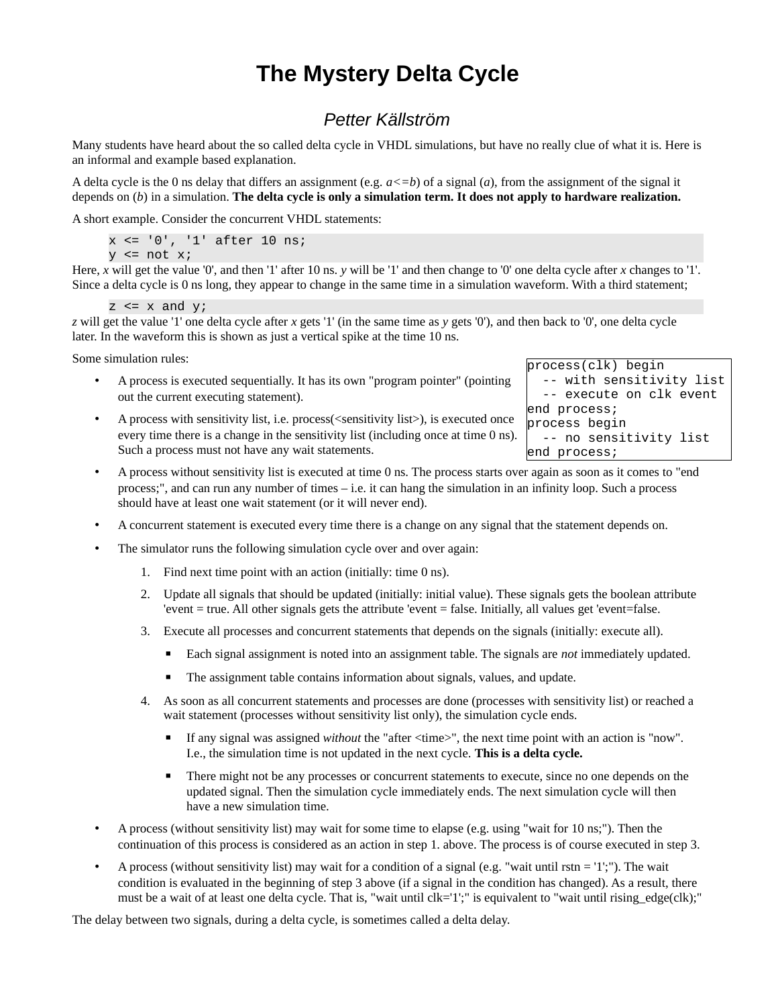# **The Mystery Delta Cycle**

# *Petter Källström*

Many students have heard about the so called delta cycle in VHDL simulations, but have no really clue of what it is. Here is an informal and example based explanation.

A delta cycle is the 0 ns delay that differs an assignment (e.g.  $a \leq b$ ) of a signal (*a*), from the assignment of the signal it depends on (*b*) in a simulation. **The delta cycle is only a simulation term. It does not apply to hardware realization.**

A short example. Consider the concurrent VHDL statements:

x <= '0', '1' after 10 ns;  $y \leq not x;$ 

Here, *x* will get the value '0', and then '1' after 10 ns. *y* will be '1' and then change to '0' one delta cycle after *x* changes to '1'. Since a delta cycle is 0 ns long, they appear to change in the same time in a simulation waveform. With a third statement;

```
z \leq x and y;
```
*z* will get the value '1' one delta cycle after *x* gets '1' (in the same time as *y* gets '0'), and then back to '0', one delta cycle later. In the waveform this is shown as just a vertical spike at the time 10 ns.

Some simulation rules:

- A process is executed sequentially. It has its own "program pointer" (pointing out the current executing statement).
- A process with sensitivity list, i.e. process(<sensitivity list>), is executed once every time there is a change in the sensitivity list (including once at time 0 ns). Such a process must not have any wait statements.
- A process without sensitivity list is executed at time 0 ns. The process starts over again as soon as it comes to "end process;", and can run any number of times – i.e. it can hang the simulation in an infinity loop. Such a process should have at least one wait statement (or it will never end).
- A concurrent statement is executed every time there is a change on any signal that the statement depends on.
- The simulator runs the following simulation cycle over and over again:
	- 1. Find next time point with an action (initially: time 0 ns).
	- 2. Update all signals that should be updated (initially: initial value). These signals gets the boolean attribute 'event = true. All other signals gets the attribute 'event = false. Initially, all values get 'event=false.
	- 3. Execute all processes and concurrent statements that depends on the signals (initially: execute all).
		- Each signal assignment is noted into an assignment table. The signals are *not* immediately updated.
		- The assignment table contains information about signals, values, and update.
	- 4. As soon as all concurrent statements and processes are done (processes with sensitivity list) or reached a wait statement (processes without sensitivity list only), the simulation cycle ends.
		- If any signal was assigned *without* the "after <time>", the next time point with an action is "now". I.e., the simulation time is not updated in the next cycle. **This is a delta cycle.**
		- There might not be any processes or concurrent statements to execute, since no one depends on the updated signal. Then the simulation cycle immediately ends. The next simulation cycle will then have a new simulation time.
- A process (without sensitivity list) may wait for some time to elapse (e.g. using "wait for 10 ns;"). Then the continuation of this process is considered as an action in step 1. above. The process is of course executed in step 3.
- A process (without sensitivity list) may wait for a condition of a signal (e.g. "wait until rstn = '1';"). The wait condition is evaluated in the beginning of step 3 above (if a signal in the condition has changed). As a result, there must be a wait of at least one delta cycle. That is, "wait until clk='1';" is equivalent to "wait until rising\_edge(clk);"

The delay between two signals, during a delta cycle, is sometimes called a delta delay.

process(clk) begin -- with sensitivity list -- execute on clk event end process; process begin -- no sensitivity list end process;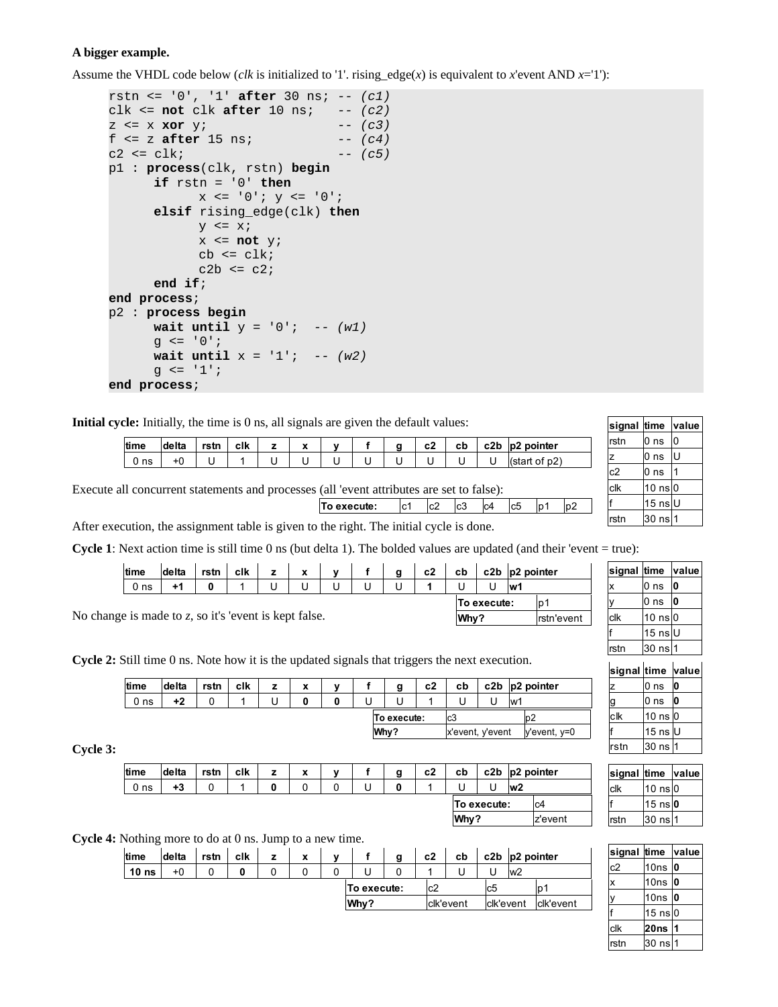# **A bigger example.**

Assume the VHDL code below (*clk* is initialized to '1'. rising\_edge(*x*) is equivalent to *x*'event AND *x*='1'):

```
rstn <= '0', '1' after 30 ns; -- (c1)
clk <= not clk after 10 ns; -- (c2)
z <= x xor y; -- (c3)
f <= z after 15 ns; -- (c4)
c2 <= clk; -- (c5)
p1 : process(clk, rstn) begin
     if rstn = '0' thenx \leq 0'; y \leq 0';
     elsif rising_edge(clk) then
           y \leq x;
           x \leq not \ y;cb \leq clk;
           c2b \leq c2;end if;
end process;
p2 : process begin
     wait until y = '0'; -- (w1)
     g \leq 0';
     wait until x = '1'; -- (w2)
     g \leq 1';
end process;
```
**Initial cycle:** Initially, the time is 0 ns, all signals are given the default values:

| time    | delta | rstn | clk | $\overline{\phantom{a}}$<br>$\boldsymbol{\lambda}$ | v | $\mathbf{a}$ | c2 | cb | c2b | pointer<br> D2 |
|---------|-------|------|-----|----------------------------------------------------|---|--------------|----|----|-----|----------------|
| ns<br>ν |       |      |     |                                                    |   |              |    |    | U   | p2)            |
|         |       |      |     |                                                    |   |              |    |    |     |                |

Execute all concurrent statements and processes (all 'event attributes are set to false):

| To execute: | ?∩ا | c3 | IC <sub>4</sub> | Ic <sub>5</sub> |  |
|-------------|-----|----|-----------------|-----------------|--|
|             |     |    |                 |                 |  |

After execution, the assignment table is given to the right. The initial cycle is done.

**Cycle 1**: Next action time is still time 0 ns (but delta 1). The bolded values are updated (and their 'event = true):

|                                                       | ∣time           |    |  | delta | rstn | clk | v |  | g    | c2          | cb                        |                    | c2b $ p2$ pointer |  |
|-------------------------------------------------------|-----------------|----|--|-------|------|-----|---|--|------|-------------|---------------------------|--------------------|-------------------|--|
|                                                       | 0 <sub>ns</sub> | +1 |  |       |      |     | U |  |      |             | $\mathsf{I} \mathsf{w}$ 1 |                    |                   |  |
|                                                       |                 |    |  |       |      |     |   |  |      | To execute: |                           | ID                 |                   |  |
| No change is made to z, so it's 'event is kept false. |                 |    |  |       |      |     |   |  | Why? |             |                           | <b>Irstn'event</b> |                   |  |

**Cycle 2:** Still time 0 ns. Note how it is the updated signals that triggers the next execution.

| <b>ltime</b>    | delta | rstn | clk | z | $\checkmark$<br>^ | v | g           | c2 | cb               |  |     | c2b $ p2$ pointer |
|-----------------|-------|------|-----|---|-------------------|---|-------------|----|------------------|--|-----|-------------------|
| 0 <sub>ns</sub> | +2    |      |     |   |                   |   |             |    |                  |  | lw1 |                   |
|                 |       |      |     |   |                   |   | To execute: |    | lc3              |  |     | b2                |
|                 |       |      |     |   |                   |   | Why?        |    | x'event, y'event |  |     | y'event, y=0      |

**Cycle 3:**

| time            | delta | rstn | clk | 7 | $\check{}$<br>$\hat{\phantom{a}}$ | v | g | c2 | cb   |             |    | c2b $ p2$ pointer |
|-----------------|-------|------|-----|---|-----------------------------------|---|---|----|------|-------------|----|-------------------|
| 0 <sub>ns</sub> | +3    |      |     |   |                                   |   | 0 |    | U    |             | w2 |                   |
|                 |       |      |     |   |                                   |   |   |    |      | To execute: |    | lc4               |
|                 |       |      |     |   |                                   |   |   |    | Why? |             |    | z'event           |

**Cycle 4:** Nothing more to do at 0 ns. Jump to a new time.

| time             | delta | rstn | clk | v<br>$\ddot{\phantom{0}}$ |             | g | c2  | cb        | c2b       | $p2$ pointer                       |           |
|------------------|-------|------|-----|---------------------------|-------------|---|-----|-----------|-----------|------------------------------------|-----------|
| 10 <sub>ns</sub> | $+0$  |      |     |                           |             |   |     |           |           | $\mathsf{I} \mathsf{w} \mathsf{Z}$ |           |
|                  |       |      |     |                           | To execute: |   | 'c2 |           |           |                                    | D.        |
|                  |       |      |     |                           | Why?        |   |     | clk'event | clk'event |                                    | clk'event |

| signal time |                              | value l |
|-------------|------------------------------|---------|
| rstn        | 0 ns                         | 0       |
| z           | 0 ns                         | U       |
| c2          | 0 <sub>ns</sub>              |         |
| clk         | $10 \text{ ns}$ <sup>0</sup> |         |
| f           | 15 ns∣U                      |         |
| rstn        | 30 ns 1                      |         |
|             |                              |         |

| signal time |              | value |
|-------------|--------------|-------|
| X           | 0 ns         | 0     |
| у           | 0 ns         | 0     |
| clk         | $10$ ns $ 0$ |       |
| f           | 15 ns U      |       |
| rstn        | 30 ns 1      |       |
|             |              |       |

|      | signal time value |   |
|------|-------------------|---|
| z    | 0 ns              | 0 |
| g    | 0 ns              | 0 |
| clk  | 10 ns $ 0$        |   |
|      | 15 ns $ U $       |   |
| rstn | 30 ns l1          |   |

| signal time value |                |  |
|-------------------|----------------|--|
| lclk              | $10$ ns $ 0$   |  |
|                   | 15 ns <b>0</b> |  |
| rstn              | l30 ns∣1       |  |

| signal | time                         | value |
|--------|------------------------------|-------|
| c2     | 10ns                         | 0     |
| x      | 10ns                         | 0     |
| у      | 10ns                         | 0     |
| f      | $15 \text{ ns}$ <sub>0</sub> |       |
| clk    | 20ns                         |       |
| rstn   | $30$ ns                      |       |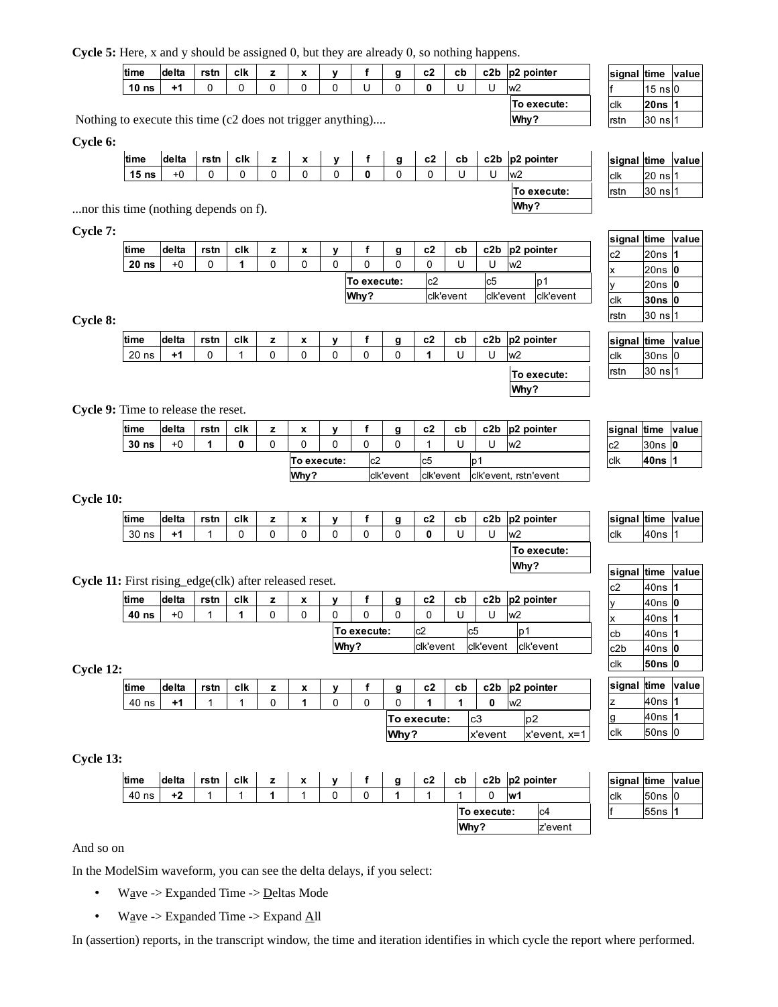**Cycle 5:** Here, x and y should be assigned 0, but they are already 0, so nothing happens.

| time                                                  | delta | rstn | clk | $\checkmark$ |  | a | c2 | cb | c2b | $ p2$ pointer  | sic         |
|-------------------------------------------------------|-------|------|-----|--------------|--|---|----|----|-----|----------------|-------------|
| 10 <sub>ns</sub>                                      |       |      |     |              |  |   |    |    |     | $\mathsf{lw2}$ |             |
|                                                       |       |      |     |              |  |   |    |    |     | To execute:    | clk         |
| g to execute this time (c2 does not trigger anything) |       |      |     |              |  |   |    |    |     | Why?           | <b>rsti</b> |

Nothing to execute this time (c2 does not trigger anything)....

#### **Cycle 6:**

| time                            | <b>delta</b> | rstn | clk | 7 | v<br>́ | v | g | c2 | cb | c2b | $ p2$ pointer  | signal time |         | value |
|---------------------------------|--------------|------|-----|---|--------|---|---|----|----|-----|----------------|-------------|---------|-------|
| 15 <sub>ns</sub>                | $+0$         |      |     |   | O      |   |   |    |    |     | w <sub>2</sub> | ∣clk        | 20 ns   |       |
|                                 |              |      |     |   |        |   |   |    |    |     | To execute:    | ∣rstn       | $30$ ns |       |
| is time (nothing depends on f). |              |      |     |   |        |   |   |    |    |     | Why?           |             |         |       |

...nor this time (nothing depends on f).

**Cycle 7:**

| time             | delta | rstn | clk | x | $\cdot$ |             | α | c2  | cb        |           | c2b $ p2$ pointer |           |
|------------------|-------|------|-----|---|---------|-------------|---|-----|-----------|-----------|-------------------|-----------|
| 20 <sub>ns</sub> | +0    |      |     |   |         |             |   |     |           |           | lw <sub>2</sub>   |           |
|                  |       |      |     |   |         | To execute: |   | lc2 |           | lcb       |                   | ۱p        |
|                  |       |      |     |   |         | Why?        |   |     | clk'event | clk'event |                   | clk'event |

## **Cycle 8:**

| time  | delta | rstn | clk | 7 | x | $\mathbf{v}$ | g | c2 | cb | c2b $ p2$ pointer |
|-------|-------|------|-----|---|---|--------------|---|----|----|-------------------|
| 20 ns | +1    | ີ    |     |   |   | u            |   |    |    | $\mathsf{lw2}$    |
|       |       |      |     |   |   |              |   |    |    | To execute:       |
|       |       |      |     |   |   |              |   |    |    | Why?              |

**Cycle 9:** Time to release the reset.

| time             | delta | rstn | clk | $\overline{\phantom{a}}$<br>^ | $\mathbf{v}$ |     | g         | c2        | cb |    | c2b $ p2$ pointer     |      | signal time | ∣valı |
|------------------|-------|------|-----|-------------------------------|--------------|-----|-----------|-----------|----|----|-----------------------|------|-------------|-------|
| 30 <sub>ns</sub> | $+0$  |      |     |                               | 0            |     |           |           |    |    | $\mathsf{lw2}$        | ∣c2  | $30ns$ $0$  |       |
|                  |       |      |     | To execute:                   |              | lc2 |           | lc5       |    | ۱p |                       | lclk | 40ns        |       |
|                  |       |      |     | Why?                          |              |     | clk'event | clk'event |    |    | clk'event, rstn'event |      |             |       |

# **Cycle 10:**

| time     | delta | rstn | clk | $\overline{\phantom{a}}$<br>^ | $\mathbf{v}$ | α<br>÷ | c2 | cb | c <sub>2</sub> b | $ p2$ pointer |  |
|----------|-------|------|-----|-------------------------------|--------------|--------|----|----|------------------|---------------|--|
| 30<br>ns | 41    |      |     |                               |              |        |    |    | ີ                | <b>WZ</b>     |  |
|          |       |      |     |                               |              |        |    |    |                  | To execute:   |  |

# **Cycle 11:** First rising\_edge(clk) after released reset.

| time  | delta | rstn | clk | 7 | x |      |             | g | c2        | cb |           | c2b $ p2$ pointer |
|-------|-------|------|-----|---|---|------|-------------|---|-----------|----|-----------|-------------------|
| 40 ns | $+0$  |      |     |   |   |      |             |   |           |    |           | $\mathsf{Iw2}$    |
|       |       |      |     |   |   |      | To execute: |   | lc2       |    | lc5       | ۱D٬               |
|       |       |      |     |   |   | Why? |             |   | clk'event |    | clk'event | clk'event         |

## **Cycle 12:**

| time  | delta | rstn | clk | x | $\mathbf{v}$ | g    | c2          | cb |         |    | c2b $ p2$ pointer |
|-------|-------|------|-----|---|--------------|------|-------------|----|---------|----|-------------------|
| 40 ns | 41    |      |     |   |              |      |             |    |         | w2 |                   |
|       |       |      |     |   |              |      | To execute: |    | 'c3     |    | lD2               |
|       |       |      |     |   |              | Why? |             |    | x'event |    | $x$ 'event, $x=1$ |

## **Cycle 13:**

| <b>time</b> | delta | rstn | clk | $\overline{\phantom{a}}$ | X |  | g | c2 | cb   |             | c2b $ p2$ pointer |         |
|-------------|-------|------|-----|--------------------------|---|--|---|----|------|-------------|-------------------|---------|
| 40 ns       | +2    |      |     |                          |   |  |   |    |      |             | ۱w                |         |
|             |       |      |     |                          |   |  |   |    |      | To execute: |                   | lC4     |
|             |       |      |     |                          |   |  |   |    | Why? |             |                   | z'event |

| signal time value |          |  |
|-------------------|----------|--|
| clk               | 50ns   0 |  |
|                   | 55ns 1   |  |

#### And so on

In the ModelSim waveform, you can see the delta delays, if you select:

- Wave -> Expanded Time -> Deltas Mode
- Wave -> Expanded Time -> Expand All

In (assertion) reports, in the transcript window, the time and iteration identifies in which cycle the report where performed.

| signal time value |         |  |
|-------------------|---------|--|
|                   | 15 ns 0 |  |
| lclk              | 20ns 1  |  |
| rstn              | 30 ns 1 |  |

**signal time value** c2 20ns **1** x 20ns **0** y 20ns **0 30ns 0**  $\overline{\phantom{a}}$ 

| Irstn       | l30 ns∣1 |              |
|-------------|----------|--------------|
|             |          |              |
| signal time |          | <b>value</b> |
| clk         | 30ns   0 |              |
| rstn        | 30 ns 1  |              |

clk

| signal time value |            |  |
|-------------------|------------|--|
| c2                | $30ns$   0 |  |
| clk               | 40ns 1     |  |

| $30ns$  0 |  |
|-----------|--|
| 40ns   1  |  |
|           |  |

| signal time value |         |  |
|-------------------|---------|--|
| clk               | 40ns  1 |  |
|                   |         |  |

**Why?**

| signal time  |      | value |
|--------------|------|-------|
| c2           | 40ns | 1     |
| y            | 40ns | 0     |
| $\mathsf{x}$ | 40ns | 1     |
| cb           | 40ns |       |
| c2b          | 40ns | 0     |
| clk          | 50ns | O     |
|              |      |       |
|              |      |       |

| signal time value |         |  |
|-------------------|---------|--|
| z                 | ∣40ns I |  |
| g                 | 40ns    |  |
| clk               | 50ns 0  |  |